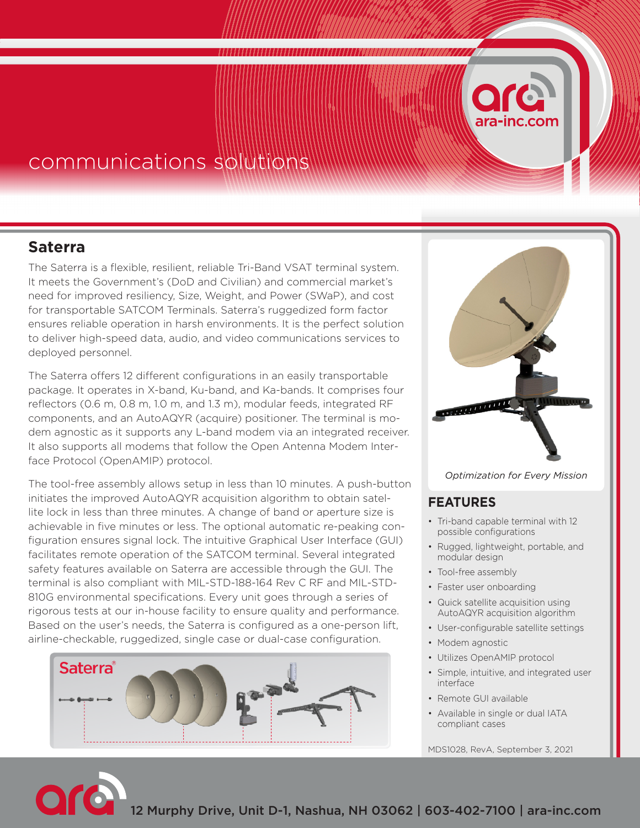# **Saterra**

The Saterra is a flexible, resilient, reliable Tri-Band VSAT terminal system. It meets the Government's (DoD and Civilian) and commercial market's need for improved resiliency, Size, Weight, and Power (SWaP), and cost for transportable SATCOM Terminals. Saterra's ruggedized form factor ensures reliable operation in harsh environments. It is the perfect solution to deliver high-speed data, audio, and video communications services to deployed personnel.

The Saterra offers 12 different configurations in an easily transportable package. It operates in X-band, Ku-band, and Ka-bands. It comprises four reflectors (0.6 m, 0.8 m, 1.0 m, and 1.3 m), modular feeds, integrated RF components, and an AutoAQYR (acquire) positioner. The terminal is modem agnostic as it supports any L-band modem via an integrated receiver. It also supports all modems that follow the Open Antenna Modem Interface Protocol (OpenAMIP) protocol.

The tool-free assembly allows setup in less than 10 minutes. A push-button initiates the improved AutoAQYR acquisition algorithm to obtain satellite lock in less than three minutes. A change of band or aperture size is achievable in five minutes or less. The optional automatic re-peaking configuration ensures signal lock. The intuitive Graphical User Interface (GUI) facilitates remote operation of the SATCOM terminal. Several integrated safety features available on Saterra are accessible through the GUI. The terminal is also compliant with MIL-STD-188-164 Rev C RF and MIL-STD-810G environmental specifications. Every unit goes through a series of rigorous tests at our in-house facility to ensure quality and performance. Based on the user's needs, the Saterra is configured as a one-person lift, airline-checkable, ruggedized, single case or dual-case configuration.





### *Optimization for Every Mission*

## **FEATURES**

- Tri-band capable terminal with 12 possible configurations
- Rugged, lightweight, portable, and modular design
- Tool-free assembly
- Faster user onboarding
- Quick satellite acquisition using AutoAQYR acquisition algorithm
- User-configurable satellite settings
- Modem agnostic
- Utilizes OpenAMIP protocol
- Simple, intuitive, and integrated user interface
- Remote GUI available
- Available in single or dual IATA compliant cases

MDS1028, RevA, September 3, 2021

12 Murphy Drive, Unit D-1, Nashua, NH 03062 | 603-402-7100 | ara-inc.com